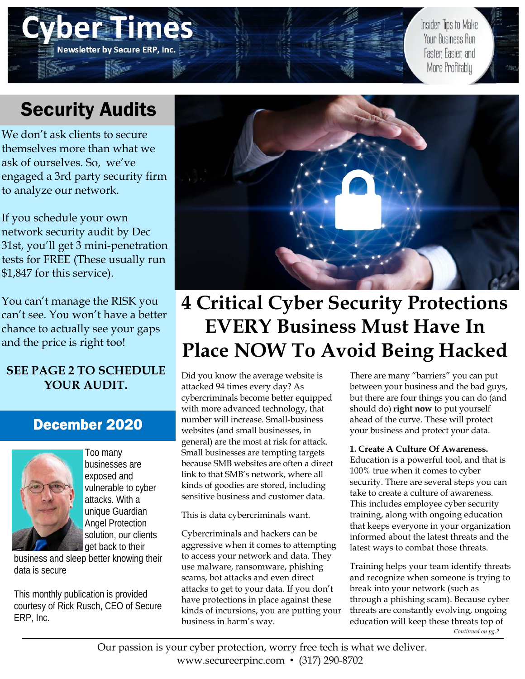# **De SEIMC Newsletter by Secure ERP, Inc.**

Insider Tips to Make Your Business Run Faster, Easier, and More Profitably

## Security Audits

We don't ask clients to secure themselves more than what we ask of ourselves. So, we've engaged a 3rd party security firm to analyze our network.

If you schedule your own network security audit by Dec 31st, you'll get 3 mini-penetration tests for FREE (These usually run \$1,847 for this service).

You can't manage the RISK you can't see. You won't have a better chance to actually see your gaps and the price is right too!

### **SEE PAGE 2 TO SCHEDULE YOUR AUDIT.**

### December 2020



Too many businesses are exposed and vulnerable to cyber attacks. With a unique Guardian Angel Protection solution, our clients get back to their

business and sleep better knowing their data is secure

This monthly publication is provided courtesy of Rick Rusch, CEO of Secure ERP, Inc.



## **4 Critical Cyber Security Protections EVERY Business Must Have In Place NOW To Avoid Being Hacked**

Did you know the average website is attacked 94 times every day? As cybercriminals become better equipped with more advanced technology, that number will increase. Small-business websites (and small businesses, in general) are the most at risk for attack. Small businesses are tempting targets because SMB websites are often a direct link to that SMB's network, where all kinds of goodies are stored, including sensitive business and customer data.

This is data cybercriminals want.

Cybercriminals and hackers can be aggressive when it comes to attempting to access your network and data. They use malware, ransomware, phishing scams, bot attacks and even direct attacks to get to your data. If you don't have protections in place against these kinds of incursions, you are putting your business in harm's way.

There are many "barriers" you can put between your business and the bad guys, but there are four things you can do (and should do) **right now** to put yourself ahead of the curve. These will protect your business and protect your data.

### **1. Create A Culture Of Awareness.**

Education is a powerful tool, and that is 100% true when it comes to cyber security. There are several steps you can take to create a culture of awareness. This includes employee cyber security training, along with ongoing education that keeps everyone in your organization informed about the latest threats and the latest ways to combat those threats.

Training helps your team identify threats and recognize when someone is trying to break into your network (such as through a phishing scam). Because cyber threats are constantly evolving, ongoing education will keep these threats top of *Continued on pg.2* 

Our passion is your cyber protection, worry free tech is what we deliver. www.secureerpinc.com • (317) 290-8702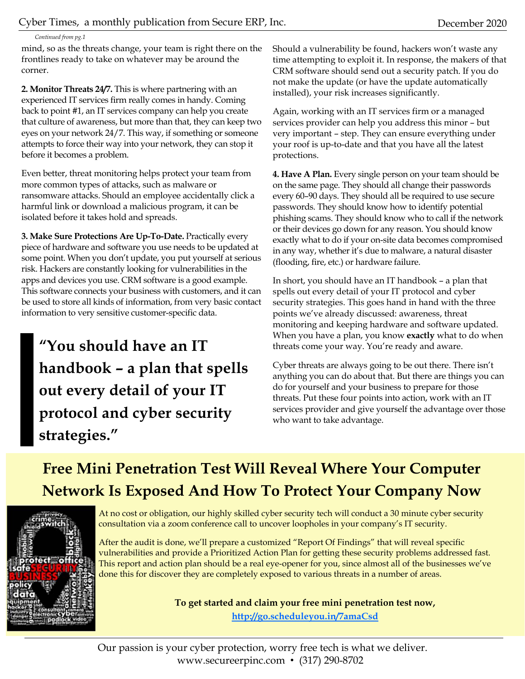*Continued from pg.1* 

mind, so as the threats change, your team is right there on the frontlines ready to take on whatever may be around the corner.

**2. Monitor Threats 24/7.** This is where partnering with an experienced IT services firm really comes in handy. Coming back to point #1, an IT services company can help you create that culture of awareness, but more than that, they can keep two eyes on your network 24/7. This way, if something or someone attempts to force their way into your network, they can stop it before it becomes a problem.

Even better, threat monitoring helps protect your team from more common types of attacks, such as malware or ransomware attacks. Should an employee accidentally click a harmful link or download a malicious program, it can be isolated before it takes hold and spreads.

**3. Make Sure Protections Are Up-To-Date.** Practically every piece of hardware and software you use needs to be updated at some point. When you don't update, you put yourself at serious risk. Hackers are constantly looking for vulnerabilities in the apps and devices you use. CRM software is a good example. This software connects your business with customers, and it can be used to store all kinds of information, from very basic contact information to very sensitive customer-specific data.

**"You should have an IT handbook – a plan that spells out every detail of your IT protocol and cyber security strategies."** 

Should a vulnerability be found, hackers won't waste any time attempting to exploit it. In response, the makers of that CRM software should send out a security patch. If you do not make the update (or have the update automatically installed), your risk increases significantly.

Again, working with an IT services firm or a managed services provider can help you address this minor – but very important – step. They can ensure everything under your roof is up-to-date and that you have all the latest protections.

**4. Have A Plan.** Every single person on your team should be on the same page. They should all change their passwords every 60–90 days. They should all be required to use secure passwords. They should know how to identify potential phishing scams. They should know who to call if the network or their devices go down for any reason. You should know exactly what to do if your on-site data becomes compromised in any way, whether it's due to malware, a natural disaster (flooding, fire, etc.) or hardware failure.

In short, you should have an IT handbook – a plan that spells out every detail of your IT protocol and cyber security strategies. This goes hand in hand with the three points we've already discussed: awareness, threat monitoring and keeping hardware and software updated. When you have a plan, you know **exactly** what to do when threats come your way. You're ready and aware.

Cyber threats are always going to be out there. There isn't anything you can do about that. But there are things you can do for yourself and your business to prepare for those threats. Put these four points into action, work with an IT services provider and give yourself the advantage over those who want to take advantage.

## **Free Mini Penetration Test Will Reveal Where Your Computer Network Is Exposed And How To Protect Your Company Now**



At no cost or obligation, our highly skilled cyber security tech will conduct a 30 minute cyber security consultation via a zoom conference call to uncover loopholes in your company's IT security.

After the audit is done, we'll prepare a customized "Report Of Findings" that will reveal specific vulnerabilities and provide a Prioritized Action Plan for getting these security problems addressed fast. This report and action plan should be a real eye-opener for you, since almost all of the businesses we've done this for discover they are completely exposed to various threats in a number of areas.

**To get started and claim your free mini penetration test now,** 

**http://go.scheduleyou.in/7amaCsd**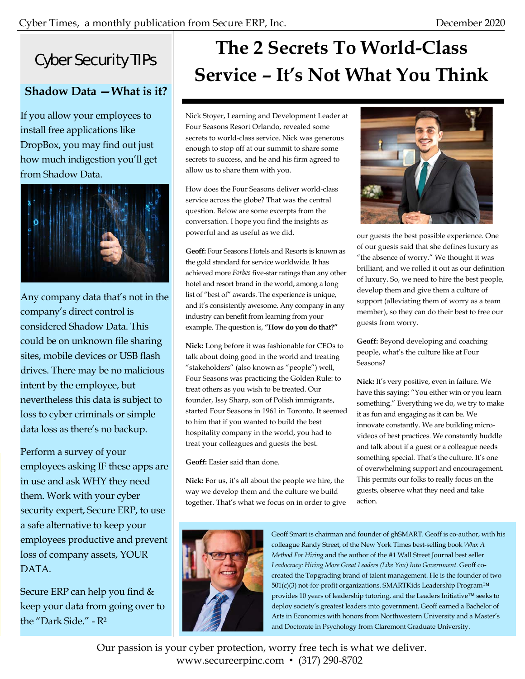### Cyber Security TIPs

### **Shadow Data —What is it?**

If you allow your employees to install free applications like DropBox, you may find out just how much indigestion you'll get from Shadow Data.



Any company data that's not in the company's direct control is considered Shadow Data. This could be on unknown file sharing sites, mobile devices or USB flash drives. There may be no malicious intent by the employee, but nevertheless this data is subject to loss to cyber criminals or simple data loss as there's no backup.

Perform a survey of your employees asking IF these apps are in use and ask WHY they need them. Work with your cyber security expert, Secure ERP, to use a safe alternative to keep your employees productive and prevent loss of company assets, YOUR DATA.

Secure ERP can help you find & keep your data from going over to the "Dark Side." - R2

## **The 2 Secrets To World-Class Service – It's Not What You Think**

Nick Stoyer, Learning and Development Leader at Four Seasons Resort Orlando, revealed some secrets to world-class service. Nick was generous enough to stop off at our summit to share some secrets to success, and he and his firm agreed to allow us to share them with you.

How does the Four Seasons deliver world-class service across the globe? That was the central question. Below are some excerpts from the conversation. I hope you find the insights as powerful and as useful as we did.

**Geoff:** Four Seasons Hotels and Resorts is known as the gold standard for service worldwide. It has achieved more *Forbes* five-star ratings than any other hotel and resort brand in the world, among a long list of "best of" awards. The experience is unique, and it's consistently awesome. Any company in any industry can benefit from learning from your example. The question is, **"How do you do that?"** 

**Nick:** Long before it was fashionable for CEOs to talk about doing good in the world and treating "stakeholders" (also known as "people") well, Four Seasons was practicing the Golden Rule: to treat others as you wish to be treated. Our founder, Issy Sharp, son of Polish immigrants, started Four Seasons in 1961 in Toronto. It seemed to him that if you wanted to build the best hospitality company in the world, you had to treat your colleagues and guests the best.

**Geoff:** Easier said than done.

**Nick:** For us, it's all about the people we hire, the way we develop them and the culture we build together. That's what we focus on in order to give





our guests the best possible experience. One of our guests said that she defines luxury as "the absence of worry." We thought it was brilliant, and we rolled it out as our definition of luxury. So, we need to hire the best people, develop them and give them a culture of support (alleviating them of worry as a team member), so they can do their best to free our guests from worry.

**Geoff:** Beyond developing and coaching people, what's the culture like at Four Seasons?

**Nick:** It's very positive, even in failure. We have this saying: "You either win or you learn something." Everything we do, we try to make it as fun and engaging as it can be. We innovate constantly. We are building microvideos of best practices. We constantly huddle and talk about if a guest or a colleague needs something special. That's the culture. It's one of overwhelming support and encouragement. This permits our folks to really focus on the guests, observe what they need and take action.

Geoff Smart is chairman and founder of ghSMART. Geoff is co-author, with his colleague Randy Street, of the New York Times best-selling book *Who: A Method For Hiring* and the author of the #1 Wall Street Journal best seller *Leadocracy: Hiring More Great Leaders (Like You) Into Government*. Geoff cocreated the Topgrading brand of talent management. He is the founder of two 501(c)(3) not-for-profit organizations. SMARTKids Leadership Program™ provides 10 years of leadership tutoring, and the Leaders Initiative™ seeks to deploy society's greatest leaders into government. Geoff earned a Bachelor of Arts in Economics with honors from Northwestern University and a Master's and Doctorate in Psychology from Claremont Graduate University.

Our passion is your cyber protection, worry free tech is what we deliver. www.secureerpinc.com • (317) 290-8702